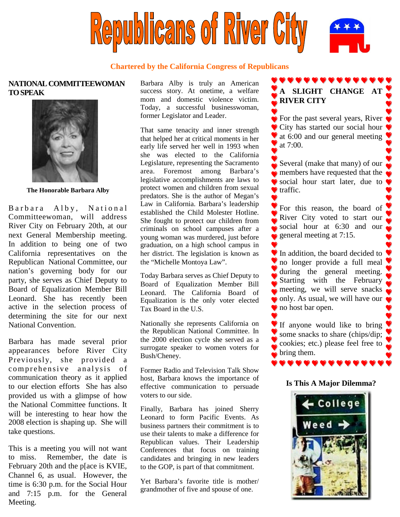

### **Chartered by the California Congress of Republicans**

## **NATIONAL COMMITTEEWOMAN TOSPEAK**



**The Honorable Barbara Alby**

Barbara Alby, National Committeewoman, will address River City on February 20th, at our next General Membership meeting. In addition to being one of two California representatives on the Republican National Committee, our nation's governing body for our party, she serves as Chief Deputy to Board of Equalization Member Bill Leonard. She has recently been active in the selection process of determining the site for our next National Convention.

Barbara has made several prior appearances before River City Previously, she provided a comprehensive analysis of communication theory as it applied to our election efforts She has also provided us with a glimpse of how the National Committee functions. It will be interesting to hear how the 2008 election is shaping up. She will take questions.

This is a meeting you will not want to miss. Remember, the date is February 20th and the p[ace is KVIE, Channel 6, as usual. However, the time is 6:30 p.m. for the Social Hour and 7:15 p.m. for the General Meeting.

Barbara Alby is truly an American success story. At onetime, a welfare mom and domestic violence victim. Today, a successful businesswoman, former Legislator and Leader.

That same tenacity and inner strength that helped her at critical moments in her early life served her well in 1993 when she was elected to the California Legislature, representing the Sacramento area. Foremost among Barbara's legislative accomplishments are laws to protect women and children from sexual predators. She is the author of Megan's Law in California. Barbara's leadership established the Child Molester Hotline. She fought to protect our children from criminals on school campuses after a young woman was murdered, just before graduation, on a high school campus in her district. The legislation is known as the "Michelle Montoya Law".

Today Barbara serves as Chief Deputy to Board of Equalization Member Bill Leonard. The California Board of Equalization is the only voter elected Tax Board in the U.S.

Nationally she represents California on the Republican National Committee. In the 2000 election cycle she served as a surrogate speaker to women voters for Bush/Cheney.

Former Radio and Television Talk Show host, Barbara knows the importance of effective communication to persuade voters to our side.

Finally, Barbara has joined Sherry Leonard to form Pacific Events. As business partners their commitment is to use their talents to make a difference for Republican values. Their Leadership Conferences that focus on training candidates and bringing in new leaders to the GOP, is part of that commitment.

Yet Barbara's favorite title is mother/ grandmother of five and spouse of one.

# **A SLIGHT CHANGE AT RIVER CITY**

. . . . . . . .

**For the past several years, River** City has started our social hour  $\bullet$  at 6:00 and our general meeting at 7:00.

Several (make that many) of our members have requested that the social hour start later, due to  $\bullet$  traffic.

For this reason, the board of River City voted to start our social hour at  $6:30$  and our general meeting at 7:15.

In addition, the board decided to no longer provide a full meal during the general meeting. Starting with the February meeting, we will serve snacks only. As usual, we will have our  $\bullet$ no host bar open.

If anyone would like to bring some snacks to share (chips/dip; cookies; etc.) please feel free to bring them.

### **Is This A Major Dilemma?**

 $\bullet \bullet \bullet \bullet \bullet \bullet \bullet \bullet \bullet \bullet$ 

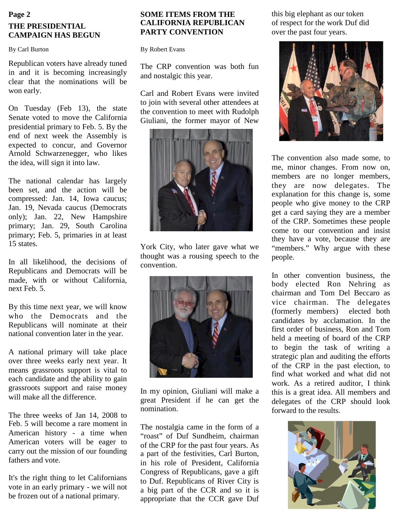# **Page 2 THE PRESIDENTIAL CAMPAIGN HAS BEGUN**

By Carl Burton

Republican voters have already tuned in and it is becoming increasingly clear that the nominations will be won early.

On Tuesday (Feb 13), the state Senate voted to move the California presidential primary to Feb. 5. By the end of next week the Assembly is expected to concur, and Governor Arnold Schwarzenegger, who likes the idea, will sign it into law.

The national calendar has largely been set, and the action will be compressed: Jan. 14, Iowa caucus; Jan. 19, Nevada caucus (Democrats only); Jan. 22, New Hampshire primary; Jan. 29, South Carolina primary; Feb. 5, primaries in at least 15 states.

In all likelihood, the decisions of Republicans and Democrats will be made, with or without California, next Feb. 5.

By this time next year, we will know who the Democrats and the Republicans will nominate at their national convention later in the year.

A national primary will take place over three weeks early next year. It means grassroots support is vital to each candidate and the ability to gain grassroots support and raise money will make all the difference.

The three weeks of Jan 14, 2008 to Feb. 5 will become a rare moment in American history - a time when American voters will be eager to carry out the mission of our founding fathers and vote.

It's the right thing to let Californians vote in an early primary - we will not be frozen out of a national primary.

### **SOME ITEMS FROM THE CALIFORNIA REPUBLICAN PARTY CONVENTION**

By Robert Evans

The CRP convention was both fun and nostalgic this year.

Carl and Robert Evans were invited to join with several other attendees at the convention to meet with Rudolph Giuliani, the former mayor of New



York City, who later gave what we thought was a rousing speech to the convention.



In my opinion, Giuliani will make a great President if he can get the nomination.

The nostalgia came in the form of a "roast" of Duf Sundheim, chairman of the CRP for the past four years. As a part of the festivities, Carl Burton, in his role of President, California Congress of Republicans, gave a gift to Duf. Republicans of River City is a big part of the CCR and so it is appropriate that the CCR gave Duf

this big elephant as our token of respect for the work Duf did over the past four years.



The convention also made some, to me, minor changes. From now on, members are no longer members, they are now delegates. The explanation for this change is, some people who give money to the CRP get a card saying they are a member of the CRP. Sometimes these people come to our convention and insist they have a vote, because they are "members." Why argue with these people.

In other convention business, the body elected Ron Nehring as chairman and Tom Del Beccaro as vice chairman. The delegates (formerly members) elected both candidates by acclamation. In the first order of business, Ron and Tom held a meeting of board of the CRP to begin the task of writing a strategic plan and auditing the efforts of the CRP in the past election, to find what worked and what did not work. As a retired auditor, I think this is a great idea. All members and delegates of the CRP should look forward to the results.

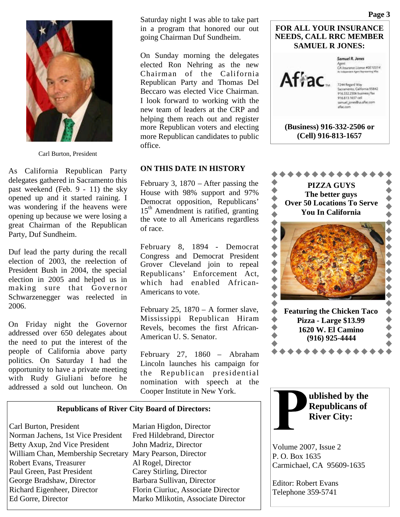

Carl Burton, President

As California Republican Party delegates gathered in Sacramento this past weekend (Feb. 9 - 11) the sky opened up and it started raining. I was wondering if the heavens were opening up because we were losing a great Chairman of the Republican Party, Duf Sundheim.

Duf lead the party during the recall election of 2003, the reelection of President Bush in 2004, the special election in 2005 and helped us in making sure that Governor Schwarzenegger was reelected in 2006.

On Friday night the Governor addressed over 650 delegates about the need to put the interest of the people of California above party politics. On Saturday I had the opportunity to have a private meeting with Rudy Giuliani before he addressed a sold out luncheon. On

Saturday night I was able to take part in a program that honored our out going Chairman Duf Sundheim.

On Sunday morning the delegates elected Ron Nehring as the new Chairman of the California Republican Party and Thomas Del Beccaro was elected Vice Chairman. I look forward to working with the new team of leaders at the CRP and helping them reach out and register more Republican voters and electing more Republican candidates to public office.

### **ON THIS DATE IN HISTORY**

February 3, 1870 – After passing the House with 98% support and 97% Democrat opposition, Republicans'  $15<sup>th</sup>$  Amendment is ratified, granting the vote to all Americans regardless of race.

February 8, 1894 - Democrat Congress and Democrat President Grover Cleveland join to repeal Republicans' Enforcement Act, which had enabled African-Americans to vote.

February 25,  $1870 - A$  former slave, Mississippi Republican Hiram Revels, becomes the first African-American U. S. Senator.

February 27, 1860 – Abraham Lincoln launches his campaign for the Republican presidential nomination with speech at the Cooper Institute in New York.

#### **Republicans of River City Board of Directors:**

Carl Burton, President Marian Higdon, Director Norman Jachens, 1st Vice President Fred Hildebrand, Director Betty Axup, 2nd Vice President John Madriz, Director William Chan, Membership Secretary Mary Pearson, Director Robert Evans, Treasurer Al Rogel, Director Paul Green, Past President Carey Stirling, Director George Bradshaw, Director Barbara Sullivan, Director Richard Eigenheer, Director Florin Ciuriuc, Associate Director Ed Gorre, Director Marko Mlikotin, Associate Director



**(Cell) 916-813-1657**

**PIZZA GUYS The better guys Over 50 Locations To Serve You In California**  $\blacklozenge$  $\begin{array}{ccc} \bullet & \bullet & \bullet \\ \bullet & \bullet & \bullet \end{array}$  $\begin{matrix} \bullet \\ \bullet \end{matrix}$  $\blacklozenge$  $\blacklozenge$  $\blacklozenge$ **Featuring the Chicken Taco Pizza - Large \$13.99 1620 W. El Camino (916) 925-4444** \*\*\*\*\*\*



Volume 2007, Issue 2 P. O. Box 1635 Carmichael, CA 95609-1635

Editor: Robert Evans Telephone 359-5741